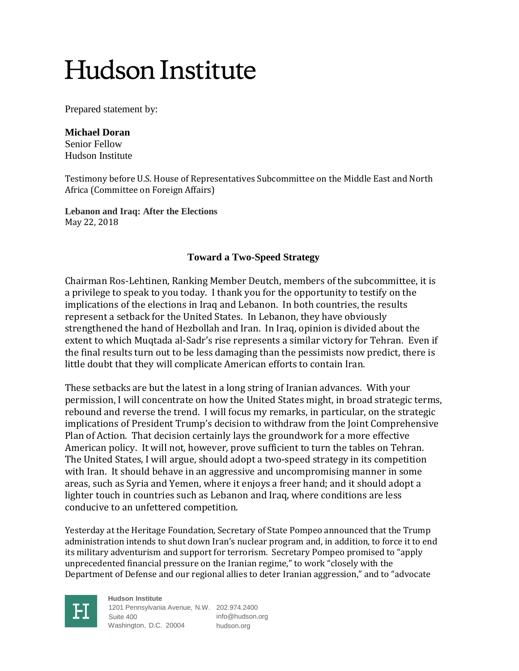Prepared statement by:

#### **Michael Doran**

Senior Fellow Hudson Institute

Testimony before U.S. House of Representatives Subcommittee on the Middle East and North Africa (Committee on Foreign Affairs)

**Lebanon and Iraq: After the Elections** May 22, 2018

### **Toward a Two-Speed Strategy**

Chairman Ros-Lehtinen, Ranking Member Deutch, members of the subcommittee, it is a privilege to speak to you today. I thank you for the opportunity to testify on the implications of the elections in Iraq and Lebanon. In both countries, the results represent a setback for the United States. In Lebanon, they have obviously strengthened the hand of Hezbollah and Iran. In Iraq, opinion is divided about the extent to which Muqtada al-Sadr's rise represents a similar victory for Tehran. Even if the final results turn out to be less damaging than the pessimists now predict, there is little doubt that they will complicate American efforts to contain Iran.

These setbacks are but the latest in a long string of Iranian advances. With your permission, I will concentrate on how the United States might, in broad strategic terms, rebound and reverse the trend. I will focus my remarks, in particular, on the strategic implications of President Trump's decision to withdraw from the Joint Comprehensive Plan of Action. That decision certainly lays the groundwork for a more effective American policy. It will not, however, prove sufficient to turn the tables on Tehran. The United States, I will argue, should adopt a two-speed strategy in its competition with Iran. It should behave in an aggressive and uncompromising manner in some areas, such as Syria and Yemen, where it enjoys a freer hand; and it should adopt a lighter touch in countries such as Lebanon and Iraq, where conditions are less conducive to an unfettered competition.

Yesterday at the Heritage Foundation, Secretary of State Pompeo announced that the Trump administration intends to shut down Iran's nuclear program and, in addition, to force it to end its military adventurism and support for terrorism. Secretary Pompeo promised to "apply unprecedented financial pressure on the Iranian regime," to work "closely with the Department of Defense and our regional allies to deter Iranian aggression," and to "advocate



**Hudson Institute** 1201 Pennsylvania Avenue, N.W. 202.974.2400 Suite 400 Washington, D.C. 20004 info@hudson.org hudson.org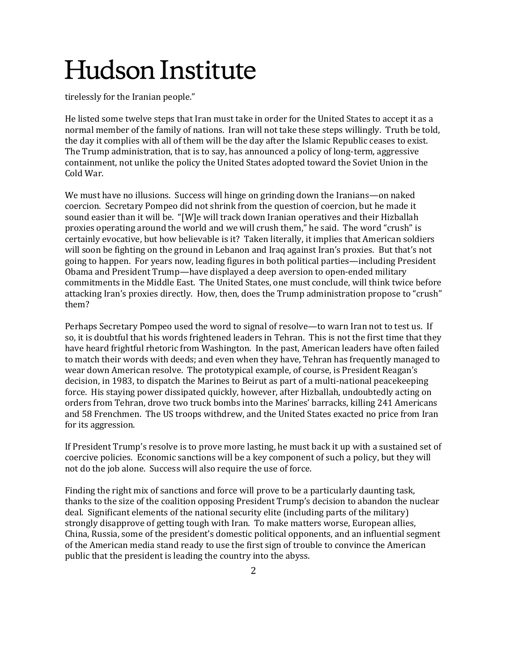tirelessly for the Iranian people."

He listed some twelve steps that Iran must take in order for the United States to accept it as a normal member of the family of nations. Iran will not take these steps willingly. Truth be told, the day it complies with all of them will be the day after the Islamic Republic ceases to exist. The Trump administration, that is to say, has announced a policy of long-term, aggressive containment, not unlike the policy the United States adopted toward the Soviet Union in the Cold War.

We must have no illusions. Success will hinge on grinding down the Iranians—on naked coercion. Secretary Pompeo did not shrink from the question of coercion, but he made it sound easier than it will be. "[W]e will track down Iranian operatives and their Hizballah proxies operating around the world and we will crush them," he said. The word "crush" is certainly evocative, but how believable is it? Taken literally, it implies that American soldiers will soon be fighting on the ground in Lebanon and Iraq against Iran's proxies. But that's not going to happen. For years now, leading figures in both political parties—including President Obama and President Trump—have displayed a deep aversion to open-ended military commitments in the Middle East. The United States, one must conclude, will think twice before attacking Iran's proxies directly. How, then, does the Trump administration propose to "crush" them?

Perhaps Secretary Pompeo used the word to signal of resolve—to warn Iran not to test us. If so, it is doubtful that his words frightened leaders in Tehran. This is not the first time that they have heard frightful rhetoric from Washington. In the past, American leaders have often failed to match their words with deeds; and even when they have, Tehran has frequently managed to wear down American resolve. The prototypical example, of course, is President Reagan's decision, in 1983, to dispatch the Marines to Beirut as part of a multi-national peacekeeping force. His staying power dissipated quickly, however, after Hizballah, undoubtedly acting on orders from Tehran, drove two truck bombs into the Marines' barracks, killing 241 Americans and 58 Frenchmen. The US troops withdrew, and the United States exacted no price from Iran for its aggression.

If President Trump's resolve is to prove more lasting, he must back it up with a sustained set of coercive policies. Economic sanctions will be a key component of such a policy, but they will not do the job alone. Success will also require the use of force.

Finding the right mix of sanctions and force will prove to be a particularly daunting task, thanks to the size of the coalition opposing President Trump's decision to abandon the nuclear deal. Significant elements of the national security elite (including parts of the military) strongly disapprove of getting tough with Iran. To make matters worse, European allies, China, Russia, some of the president's domestic political opponents, and an influential segment of the American media stand ready to use the first sign of trouble to convince the American public that the president is leading the country into the abyss.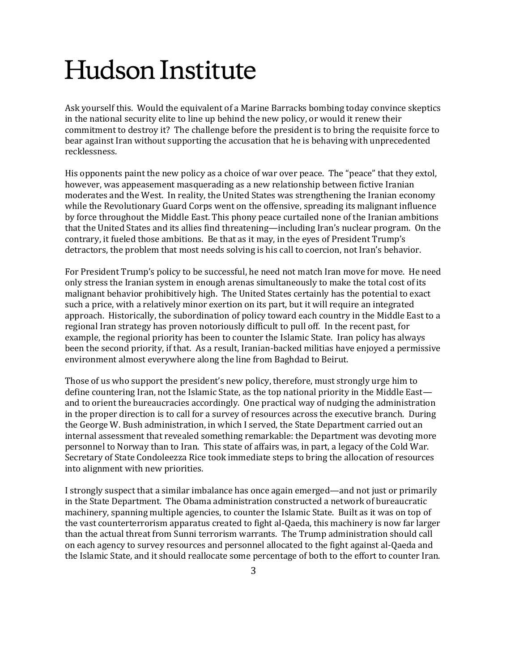Ask yourself this. Would the equivalent of a Marine Barracks bombing today convince skeptics in the national security elite to line up behind the new policy, or would it renew their commitment to destroy it? The challenge before the president is to bring the requisite force to bear against Iran without supporting the accusation that he is behaving with unprecedented recklessness.

His opponents paint the new policy as a choice of war over peace. The "peace" that they extol, however, was appeasement masquerading as a new relationship between fictive Iranian moderates and the West. In reality, the United States was strengthening the Iranian economy while the Revolutionary Guard Corps went on the offensive, spreading its malignant influence by force throughout the Middle East. This phony peace curtailed none of the Iranian ambitions that the United States and its allies find threatening—including Iran's nuclear program. On the contrary, it fueled those ambitions. Be that as it may, in the eyes of President Trump's detractors, the problem that most needs solving is his call to coercion, not Iran's behavior.

For President Trump's policy to be successful, he need not match Iran move for move. He need only stress the Iranian system in enough arenas simultaneously to make the total cost of its malignant behavior prohibitively high. The United States certainly has the potential to exact such a price, with a relatively minor exertion on its part, but it will require an integrated approach. Historically, the subordination of policy toward each country in the Middle East to a regional Iran strategy has proven notoriously difficult to pull off. In the recent past, for example, the regional priority has been to counter the Islamic State. Iran policy has always been the second priority, if that. As a result, Iranian-backed militias have enjoyed a permissive environment almost everywhere along the line from Baghdad to Beirut.

Those of us who support the president's new policy, therefore, must strongly urge him to define countering Iran, not the Islamic State, as the top national priority in the Middle East and to orient the bureaucracies accordingly. One practical way of nudging the administration in the proper direction is to call for a survey of resources across the executive branch. During the George W. Bush administration, in which I served, the State Department carried out an internal assessment that revealed something remarkable: the Department was devoting more personnel to Norway than to Iran. This state of affairs was, in part, a legacy of the Cold War. Secretary of State Condoleezza Rice took immediate steps to bring the allocation of resources into alignment with new priorities.

I strongly suspect that a similar imbalance has once again emerged—and not just or primarily in the State Department. The Obama administration constructed a network of bureaucratic machinery, spanning multiple agencies, to counter the Islamic State. Built as it was on top of the vast counterterrorism apparatus created to fight al-Qaeda, this machinery is now far larger than the actual threat from Sunni terrorism warrants. The Trump administration should call on each agency to survey resources and personnel allocated to the fight against al-Qaeda and the Islamic State, and it should reallocate some percentage of both to the effort to counter Iran.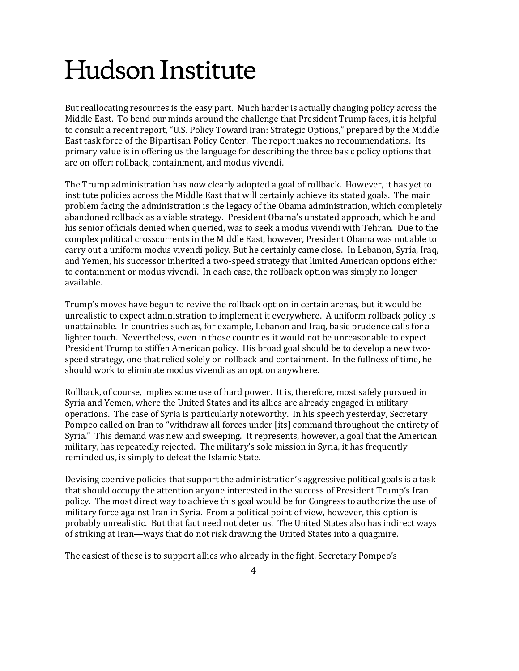But reallocating resources is the easy part. Much harder is actually changing policy across the Middle East. To bend our minds around the challenge that President Trump faces, it is helpful to consult a recent report, "U.S. Policy Toward Iran: Strategic Options," prepared by the Middle East task force of the Bipartisan Policy Center. The report makes no recommendations. Its primary value is in offering us the language for describing the three basic policy options that are on offer: rollback, containment, and modus vivendi.

The Trump administration has now clearly adopted a goal of rollback. However, it has yet to institute policies across the Middle East that will certainly achieve its stated goals. The main problem facing the administration is the legacy of the Obama administration, which completely abandoned rollback as a viable strategy. President Obama's unstated approach, which he and his senior officials denied when queried, was to seek a modus vivendi with Tehran. Due to the complex political crosscurrents in the Middle East, however, President Obama was not able to carry out a uniform modus vivendi policy. But he certainly came close. In Lebanon, Syria, Iraq, and Yemen, his successor inherited a two-speed strategy that limited American options either to containment or modus vivendi. In each case, the rollback option was simply no longer available.

Trump's moves have begun to revive the rollback option in certain arenas, but it would be unrealistic to expect administration to implement it everywhere. A uniform rollback policy is unattainable. In countries such as, for example, Lebanon and Iraq, basic prudence calls for a lighter touch. Nevertheless, even in those countries it would not be unreasonable to expect President Trump to stiffen American policy. His broad goal should be to develop a new twospeed strategy, one that relied solely on rollback and containment. In the fullness of time, he should work to eliminate modus vivendi as an option anywhere.

Rollback, of course, implies some use of hard power. It is, therefore, most safely pursued in Syria and Yemen, where the United States and its allies are already engaged in military operations. The case of Syria is particularly noteworthy. In his speech yesterday, Secretary Pompeo called on Iran to "withdraw all forces under [its] command throughout the entirety of Syria." This demand was new and sweeping. It represents, however, a goal that the American military, has repeatedly rejected. The military's sole mission in Syria, it has frequently reminded us, is simply to defeat the Islamic State.

Devising coercive policies that support the administration's aggressive political goals is a task that should occupy the attention anyone interested in the success of President Trump's Iran policy. The most direct way to achieve this goal would be for Congress to authorize the use of military force against Iran in Syria. From a political point of view, however, this option is probably unrealistic. But that fact need not deter us. The United States also has indirect ways of striking at Iran—ways that do not risk drawing the United States into a quagmire.

The easiest of these is to support allies who already in the fight. Secretary Pompeo's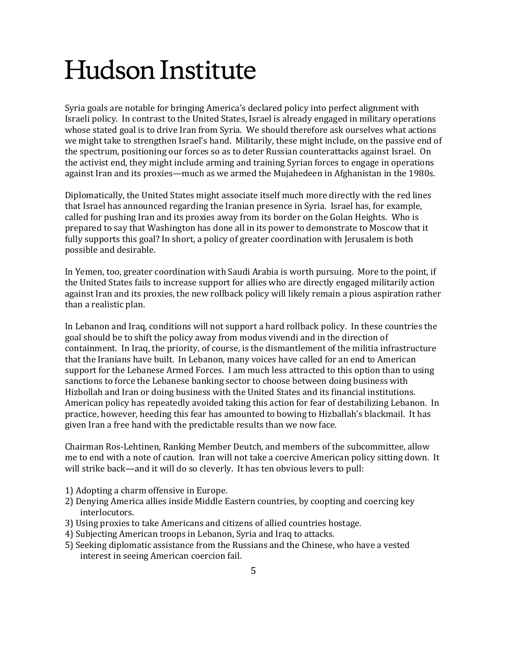Syria goals are notable for bringing America's declared policy into perfect alignment with Israeli policy. In contrast to the United States, Israel is already engaged in military operations whose stated goal is to drive Iran from Syria. We should therefore ask ourselves what actions we might take to strengthen Israel's hand. Militarily, these might include, on the passive end of the spectrum, positioning our forces so as to deter Russian counterattacks against Israel. On the activist end, they might include arming and training Syrian forces to engage in operations against Iran and its proxies—much as we armed the Mujahedeen in Afghanistan in the 1980s.

Diplomatically, the United States might associate itself much more directly with the red lines that Israel has announced regarding the Iranian presence in Syria. Israel has, for example, called for pushing Iran and its proxies away from its border on the Golan Heights. Who is prepared to say that Washington has done all in its power to demonstrate to Moscow that it fully supports this goal? In short, a policy of greater coordination with Jerusalem is both possible and desirable.

In Yemen, too, greater coordination with Saudi Arabia is worth pursuing. More to the point, if the United States fails to increase support for allies who are directly engaged militarily action against Iran and its proxies, the new rollback policy will likely remain a pious aspiration rather than a realistic plan.

In Lebanon and Iraq, conditions will not support a hard rollback policy. In these countries the goal should be to shift the policy away from modus vivendi and in the direction of containment. In Iraq, the priority, of course, is the dismantlement of the militia infrastructure that the Iranians have built. In Lebanon, many voices have called for an end to American support for the Lebanese Armed Forces. I am much less attracted to this option than to using sanctions to force the Lebanese banking sector to choose between doing business with Hizbollah and Iran or doing business with the United States and its financial institutions. American policy has repeatedly avoided taking this action for fear of destabilizing Lebanon. In practice, however, heeding this fear has amounted to bowing to Hizballah's blackmail. It has given Iran a free hand with the predictable results than we now face.

Chairman Ros-Lehtinen, Ranking Member Deutch, and members of the subcommittee, allow me to end with a note of caution. Iran will not take a coercive American policy sitting down. It will strike back—and it will do so cleverly. It has ten obvious levers to pull:

- 1) Adopting a charm offensive in Europe.
- 2) Denying America allies inside Middle Eastern countries, by coopting and coercing key interlocutors.
- 3) Using proxies to take Americans and citizens of allied countries hostage.
- 4) Subjecting American troops in Lebanon, Syria and Iraq to attacks.
- 5) Seeking diplomatic assistance from the Russians and the Chinese, who have a vested interest in seeing American coercion fail.